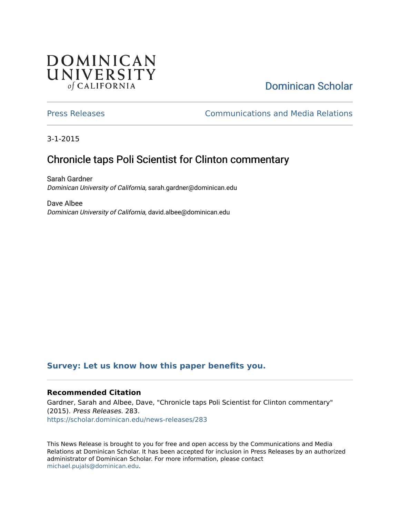## DOMINICAN UNIVERSITY of CALIFORNIA

# [Dominican Scholar](https://scholar.dominican.edu/)

[Press Releases](https://scholar.dominican.edu/news-releases) [Communications and Media Relations](https://scholar.dominican.edu/communications-media) 

3-1-2015

# Chronicle taps Poli Scientist for Clinton commentary

Sarah Gardner Dominican University of California, sarah.gardner@dominican.edu

Dave Albee Dominican University of California, david.albee@dominican.edu

#### **[Survey: Let us know how this paper benefits you.](https://dominican.libwizard.com/dominican-scholar-feedback)**

#### **Recommended Citation**

Gardner, Sarah and Albee, Dave, "Chronicle taps Poli Scientist for Clinton commentary" (2015). Press Releases. 283. [https://scholar.dominican.edu/news-releases/283](https://scholar.dominican.edu/news-releases/283?utm_source=scholar.dominican.edu%2Fnews-releases%2F283&utm_medium=PDF&utm_campaign=PDFCoverPages)

This News Release is brought to you for free and open access by the Communications and Media Relations at Dominican Scholar. It has been accepted for inclusion in Press Releases by an authorized administrator of Dominican Scholar. For more information, please contact [michael.pujals@dominican.edu.](mailto:michael.pujals@dominican.edu)